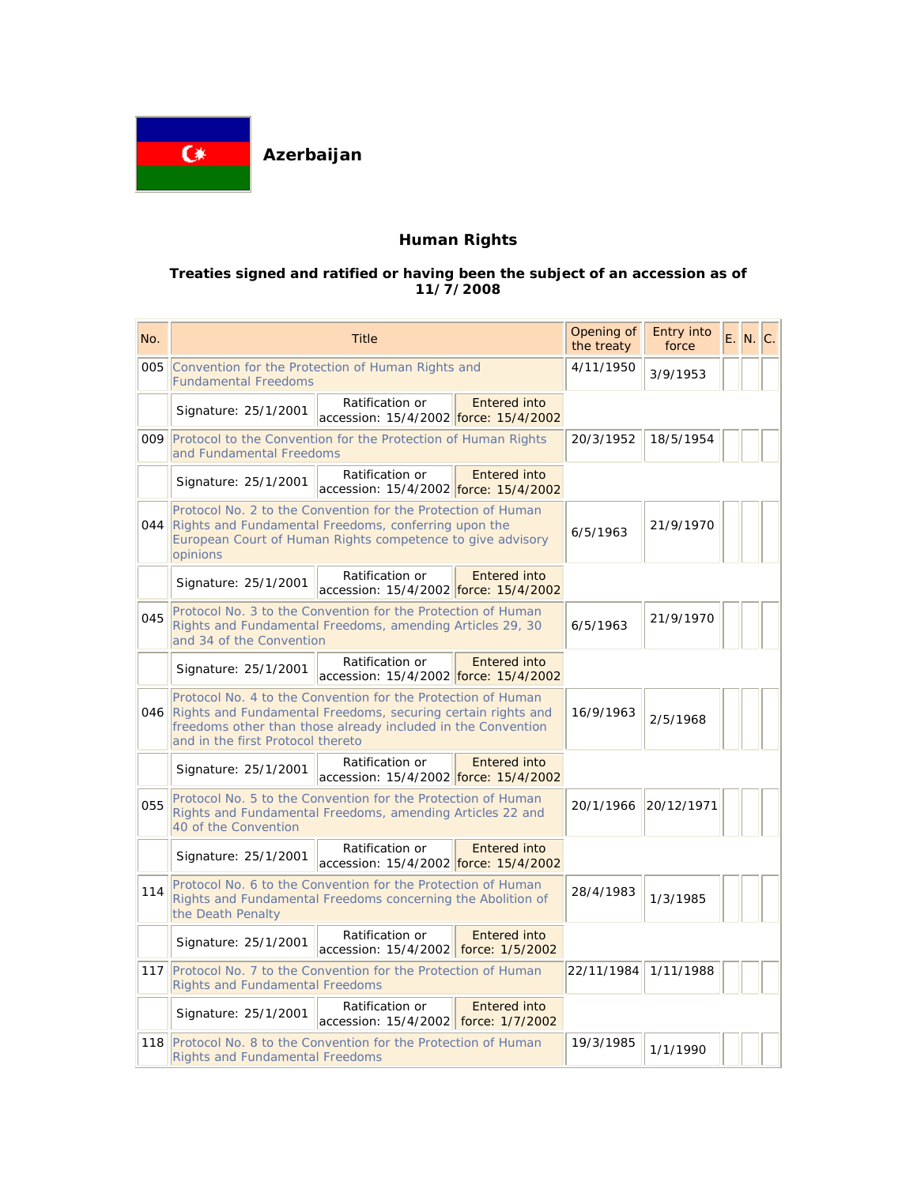

# **Human Rights**

### **Treaties signed and ratified or having been the subject of an accession as of 11/7/2008**

| No. | <b>Title</b>                                                                                                                                                                                                                          |                                                          |                     | Opening of<br>the treaty | Entry into<br>force | E. N. C. |  |
|-----|---------------------------------------------------------------------------------------------------------------------------------------------------------------------------------------------------------------------------------------|----------------------------------------------------------|---------------------|--------------------------|---------------------|----------|--|
| 005 | Convention for the Protection of Human Rights and<br><b>Fundamental Freedoms</b>                                                                                                                                                      |                                                          |                     | 4/11/1950                | 3/9/1953            |          |  |
|     | Signature: 25/1/2001                                                                                                                                                                                                                  | Ratification or<br>accession: 15/4/2002 force: 15/4/2002 | <b>Entered into</b> |                          |                     |          |  |
|     | <b>009</b> Protocol to the Convention for the Protection of Human Rights<br>and Fundamental Freedoms                                                                                                                                  |                                                          |                     | 20/3/1952                | 18/5/1954           |          |  |
|     | Signature: 25/1/2001                                                                                                                                                                                                                  | Ratification or<br>accession: 15/4/2002 force: 15/4/2002 | <b>Entered into</b> |                          |                     |          |  |
|     | Protocol No. 2 to the Convention for the Protection of Human<br>044 Rights and Fundamental Freedoms, conferring upon the<br>European Court of Human Rights competence to give advisory<br>opinions                                    |                                                          |                     | 6/5/1963                 | 21/9/1970           |          |  |
|     | Signature: 25/1/2001                                                                                                                                                                                                                  | Ratification or<br>accession: 15/4/2002 force: 15/4/2002 | Entered into        |                          |                     |          |  |
| 045 | Protocol No. 3 to the Convention for the Protection of Human<br>Rights and Fundamental Freedoms, amending Articles 29, 30<br>and 34 of the Convention                                                                                 |                                                          |                     | 6/5/1963                 | 21/9/1970           |          |  |
|     | Signature: 25/1/2001                                                                                                                                                                                                                  | Ratification or<br>accession: 15/4/2002 force: 15/4/2002 | Entered into        |                          |                     |          |  |
|     | Protocol No. 4 to the Convention for the Protection of Human<br>046 Rights and Fundamental Freedoms, securing certain rights and<br>freedoms other than those already included in the Convention<br>and in the first Protocol thereto |                                                          |                     | 16/9/1963                | 2/5/1968            |          |  |
|     | Signature: 25/1/2001                                                                                                                                                                                                                  | Ratification or<br>accession: 15/4/2002 force: 15/4/2002 | <b>Entered into</b> |                          |                     |          |  |
| 055 | Protocol No. 5 to the Convention for the Protection of Human<br>Rights and Fundamental Freedoms, amending Articles 22 and<br>40 of the Convention                                                                                     |                                                          |                     | 20/1/1966                | 20/12/1971          |          |  |
|     | Signature: 25/1/2001                                                                                                                                                                                                                  | Ratification or<br>accession: 15/4/2002 force: 15/4/2002 | Entered into        |                          |                     |          |  |
| 114 | Protocol No. 6 to the Convention for the Protection of Human<br>Rights and Fundamental Freedoms concerning the Abolition of<br>the Death Penalty                                                                                      |                                                          |                     | 28/4/1983                | 1/3/1985            |          |  |
|     | Signature: 25/1/2001                                                                                                                                                                                                                  | Ratification or<br>accession: 15/4/2002 force: 1/5/2002  | Entered into        |                          |                     |          |  |
|     | 117 Protocol No. 7 to the Convention for the Protection of Human<br><b>Rights and Fundamental Freedoms</b>                                                                                                                            |                                                          |                     | 22/11/1984               | 1/11/1988           |          |  |
|     | Signature: 25/1/2001                                                                                                                                                                                                                  | Ratification or<br>accession: 15/4/2002 force: 1/7/2002  | <b>Entered into</b> |                          |                     |          |  |
|     | 118 Protocol No. 8 to the Convention for the Protection of Human<br><b>Rights and Fundamental Freedoms</b>                                                                                                                            |                                                          |                     | 19/3/1985                | 1/1/1990            |          |  |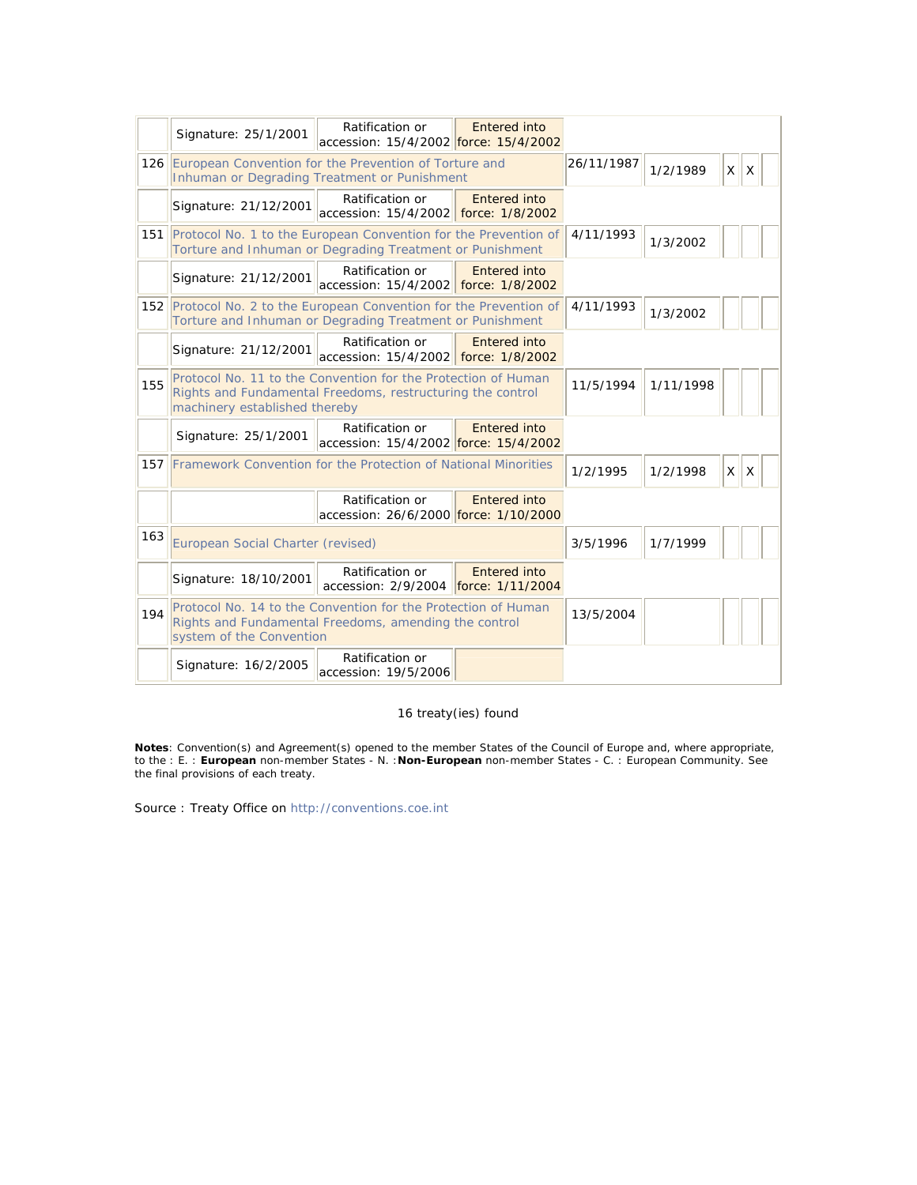|     | Signature: 25/1/2001                                                                                                                                         | Ratification or<br>accession: 15/4/2002 force: 15/4/2002 | Entered into                     |            |           |              |          |  |
|-----|--------------------------------------------------------------------------------------------------------------------------------------------------------------|----------------------------------------------------------|----------------------------------|------------|-----------|--------------|----------|--|
|     | 126 European Convention for the Prevention of Torture and<br>Inhuman or Degrading Treatment or Punishment                                                    |                                                          |                                  | 26/11/1987 | 1/2/1989  | $\mathsf{X}$ | $\times$ |  |
|     | Signature: 21/12/2001                                                                                                                                        | Ratification or<br>accession: 15/4/2002 force: 1/8/2002  | <b>Entered into</b>              |            |           |              |          |  |
| 151 | Protocol No. 1 to the European Convention for the Prevention of<br>Torture and Inhuman or Degrading Treatment or Punishment                                  |                                                          |                                  | 4/11/1993  | 1/3/2002  |              |          |  |
|     | Signature: 21/12/2001                                                                                                                                        | Ratification or<br>accession: 15/4/2002                  | Entered into<br>force: 1/8/2002  |            |           |              |          |  |
|     | 152 Protocol No. 2 to the European Convention for the Prevention of<br>Torture and Inhuman or Degrading Treatment or Punishment                              |                                                          |                                  | 4/11/1993  | 1/3/2002  |              |          |  |
|     | Signature: 21/12/2001                                                                                                                                        | Ratification or<br>accession: 15/4/2002 force: 1/8/2002  | <b>Entered into</b>              |            |           |              |          |  |
| 155 | Protocol No. 11 to the Convention for the Protection of Human<br>Rights and Fundamental Freedoms, restructuring the control<br>machinery established thereby |                                                          |                                  | 11/5/1994  | 1/11/1998 |              |          |  |
|     | Signature: 25/1/2001                                                                                                                                         | Ratification or<br>accession: 15/4/2002 force: 15/4/2002 | Entered into                     |            |           |              |          |  |
|     | 157 Framework Convention for the Protection of National Minorities                                                                                           |                                                          |                                  | 1/2/1995   | 1/2/1998  | X            | X        |  |
|     |                                                                                                                                                              | Ratification or<br>accession: 26/6/2000 force: 1/10/2000 | <b>Entered into</b>              |            |           |              |          |  |
| 163 | European Social Charter (revised)                                                                                                                            |                                                          |                                  | 3/5/1996   | 1/7/1999  |              |          |  |
|     | Signature: 18/10/2001                                                                                                                                        | Ratification or<br>accession: 2/9/2004                   | Entered into<br>force: 1/11/2004 |            |           |              |          |  |
| 194 | Protocol No. 14 to the Convention for the Protection of Human<br>Rights and Fundamental Freedoms, amending the control<br>system of the Convention           |                                                          |                                  | 13/5/2004  |           |              |          |  |
|     | Signature: 16/2/2005                                                                                                                                         | Ratification or<br>accession: 19/5/2006                  |                                  |            |           |              |          |  |

## 16 treaty(ies) found

**Notes**: Convention(s) and Agreement(s) opened to the member States of the Council of Europe and, where appropriate, to the : E. : **European** non-member States - N. :**Non-European** non-member States - C. : European Community. See the final provisions of each treaty.

Source : Treaty Office on http://conventions.coe.int